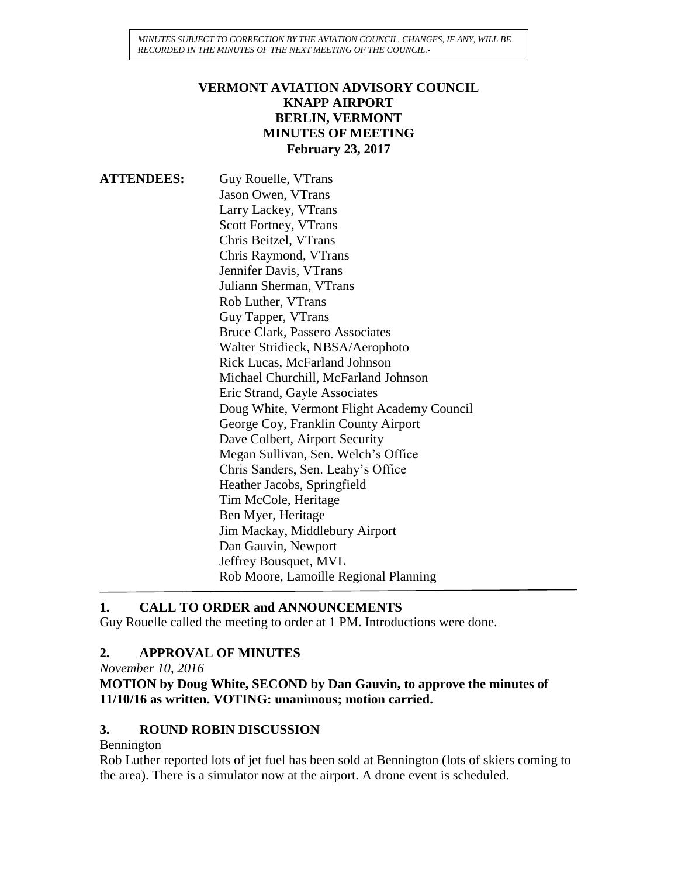*MINUTES SUBJECT TO CORRECTION BY THE AVIATION COUNCIL. CHANGES, IF ANY, WILL BE RECORDED IN THE MINUTES OF THE NEXT MEETING OF THE COUNCIL.-*

#### **VERMONT AVIATION ADVISORY COUNCIL KNAPP AIRPORT BERLIN, VERMONT MINUTES OF MEETING February 23, 2017**

**ATTENDEES:** Guy Rouelle, VTrans Jason Owen, VTrans Larry Lackey, VTrans Scott Fortney, VTrans Chris Beitzel, VTrans Chris Raymond, VTrans Jennifer Davis, VTrans Juliann Sherman, VTrans Rob Luther, VTrans Guy Tapper, VTrans Bruce Clark, Passero Associates Walter Stridieck, NBSA/Aerophoto Rick Lucas, McFarland Johnson Michael Churchill, McFarland Johnson Eric Strand, Gayle Associates Doug White, Vermont Flight Academy Council George Coy, Franklin County Airport Dave Colbert, Airport Security Megan Sullivan, Sen. Welch's Office Chris Sanders, Sen. Leahy's Office Heather Jacobs, Springfield Tim McCole, Heritage Ben Myer, Heritage Jim Mackay, Middlebury Airport Dan Gauvin, Newport Jeffrey Bousquet, MVL Rob Moore, Lamoille Regional Planning

#### **1. CALL TO ORDER and ANNOUNCEMENTS**

Guy Rouelle called the meeting to order at 1 PM. Introductions were done.

## **2. APPROVAL OF MINUTES**

*November 10, 2016*

#### **MOTION by Doug White, SECOND by Dan Gauvin, to approve the minutes of 11/10/16 as written. VOTING: unanimous; motion carried.**

#### **3. ROUND ROBIN DISCUSSION**

#### **Bennington**

Rob Luther reported lots of jet fuel has been sold at Bennington (lots of skiers coming to the area). There is a simulator now at the airport. A drone event is scheduled.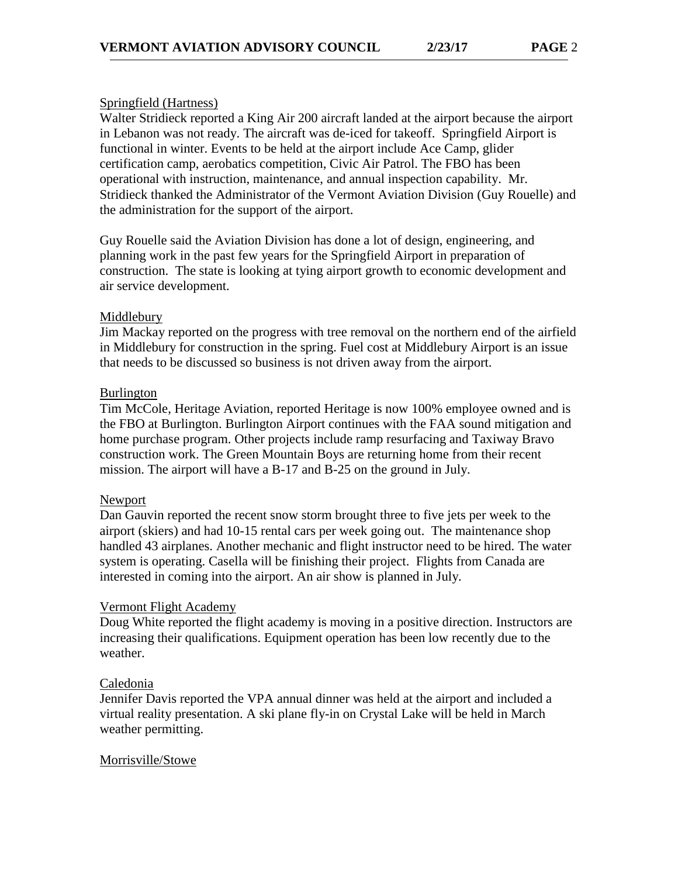#### Springfield (Hartness)

Walter Stridieck reported a King Air 200 aircraft landed at the airport because the airport in Lebanon was not ready. The aircraft was de-iced for takeoff. Springfield Airport is functional in winter. Events to be held at the airport include Ace Camp, glider certification camp, aerobatics competition, Civic Air Patrol. The FBO has been operational with instruction, maintenance, and annual inspection capability. Mr. Stridieck thanked the Administrator of the Vermont Aviation Division (Guy Rouelle) and the administration for the support of the airport.

Guy Rouelle said the Aviation Division has done a lot of design, engineering, and planning work in the past few years for the Springfield Airport in preparation of construction. The state is looking at tying airport growth to economic development and air service development.

#### Middlebury

Jim Mackay reported on the progress with tree removal on the northern end of the airfield in Middlebury for construction in the spring. Fuel cost at Middlebury Airport is an issue that needs to be discussed so business is not driven away from the airport.

#### Burlington

Tim McCole, Heritage Aviation, reported Heritage is now 100% employee owned and is the FBO at Burlington. Burlington Airport continues with the FAA sound mitigation and home purchase program. Other projects include ramp resurfacing and Taxiway Bravo construction work. The Green Mountain Boys are returning home from their recent mission. The airport will have a B-17 and B-25 on the ground in July.

#### Newport

Dan Gauvin reported the recent snow storm brought three to five jets per week to the airport (skiers) and had 10-15 rental cars per week going out. The maintenance shop handled 43 airplanes. Another mechanic and flight instructor need to be hired. The water system is operating. Casella will be finishing their project. Flights from Canada are interested in coming into the airport. An air show is planned in July.

#### Vermont Flight Academy

Doug White reported the flight academy is moving in a positive direction. Instructors are increasing their qualifications. Equipment operation has been low recently due to the weather.

#### Caledonia

Jennifer Davis reported the VPA annual dinner was held at the airport and included a virtual reality presentation. A ski plane fly-in on Crystal Lake will be held in March weather permitting.

#### Morrisville/Stowe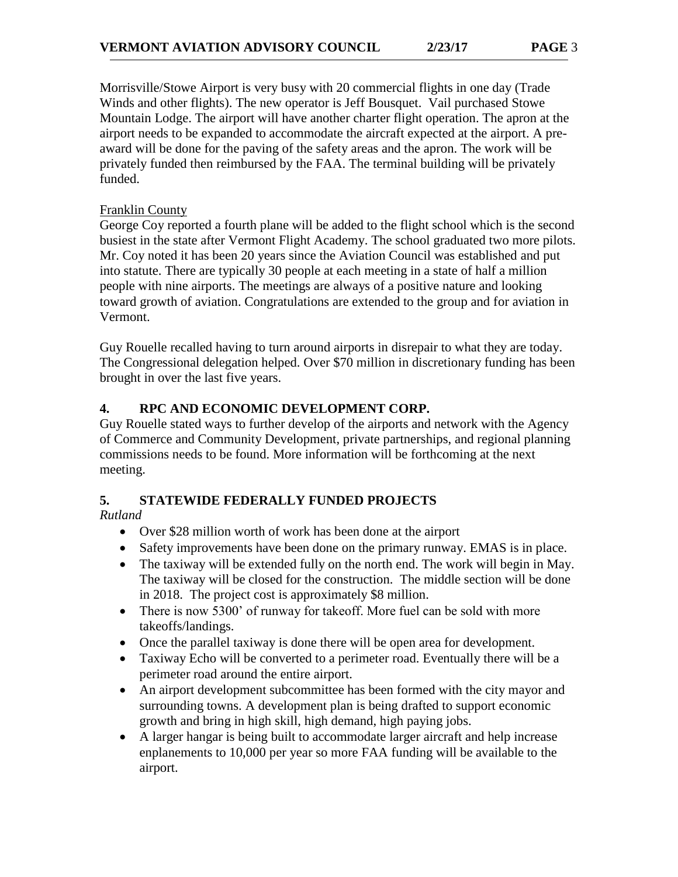Morrisville/Stowe Airport is very busy with 20 commercial flights in one day (Trade Winds and other flights). The new operator is Jeff Bousquet. Vail purchased Stowe Mountain Lodge. The airport will have another charter flight operation. The apron at the airport needs to be expanded to accommodate the aircraft expected at the airport. A preaward will be done for the paving of the safety areas and the apron. The work will be privately funded then reimbursed by the FAA. The terminal building will be privately funded.

### Franklin County

George Coy reported a fourth plane will be added to the flight school which is the second busiest in the state after Vermont Flight Academy. The school graduated two more pilots. Mr. Coy noted it has been 20 years since the Aviation Council was established and put into statute. There are typically 30 people at each meeting in a state of half a million people with nine airports. The meetings are always of a positive nature and looking toward growth of aviation. Congratulations are extended to the group and for aviation in Vermont.

Guy Rouelle recalled having to turn around airports in disrepair to what they are today. The Congressional delegation helped. Over \$70 million in discretionary funding has been brought in over the last five years.

## **4. RPC AND ECONOMIC DEVELOPMENT CORP.**

Guy Rouelle stated ways to further develop of the airports and network with the Agency of Commerce and Community Development, private partnerships, and regional planning commissions needs to be found. More information will be forthcoming at the next meeting.

# **5. STATEWIDE FEDERALLY FUNDED PROJECTS**

*Rutland*

- Over \$28 million worth of work has been done at the airport
- Safety improvements have been done on the primary runway. EMAS is in place.
- The taxiway will be extended fully on the north end. The work will begin in May. The taxiway will be closed for the construction. The middle section will be done in 2018. The project cost is approximately \$8 million.
- There is now 5300' of runway for takeoff. More fuel can be sold with more takeoffs/landings.
- Once the parallel taxiway is done there will be open area for development.
- Taxiway Echo will be converted to a perimeter road. Eventually there will be a perimeter road around the entire airport.
- An airport development subcommittee has been formed with the city mayor and surrounding towns. A development plan is being drafted to support economic growth and bring in high skill, high demand, high paying jobs.
- A larger hangar is being built to accommodate larger aircraft and help increase enplanements to 10,000 per year so more FAA funding will be available to the airport.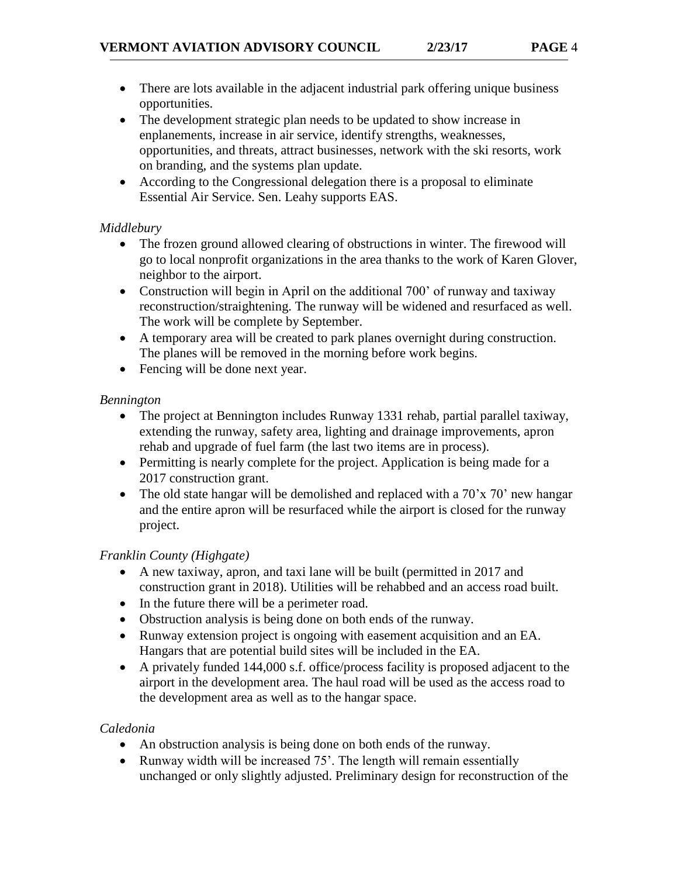- There are lots available in the adjacent industrial park offering unique business opportunities.
- The development strategic plan needs to be updated to show increase in enplanements, increase in air service, identify strengths, weaknesses, opportunities, and threats, attract businesses, network with the ski resorts, work on branding, and the systems plan update.
- According to the Congressional delegation there is a proposal to eliminate Essential Air Service. Sen. Leahy supports EAS.

#### *Middlebury*

- The frozen ground allowed clearing of obstructions in winter. The firewood will go to local nonprofit organizations in the area thanks to the work of Karen Glover, neighbor to the airport.
- Construction will begin in April on the additional 700' of runway and taxiway reconstruction/straightening. The runway will be widened and resurfaced as well. The work will be complete by September.
- A temporary area will be created to park planes overnight during construction. The planes will be removed in the morning before work begins.
- Fencing will be done next year.

## *Bennington*

- The project at Bennington includes Runway 1331 rehab, partial parallel taxiway, extending the runway, safety area, lighting and drainage improvements, apron rehab and upgrade of fuel farm (the last two items are in process).
- Permitting is nearly complete for the project. Application is being made for a 2017 construction grant.
- The old state hangar will be demolished and replaced with a 70'x 70' new hangar and the entire apron will be resurfaced while the airport is closed for the runway project.

## *Franklin County (Highgate)*

- A new taxiway, apron, and taxi lane will be built (permitted in 2017 and construction grant in 2018). Utilities will be rehabbed and an access road built.
- In the future there will be a perimeter road.
- Obstruction analysis is being done on both ends of the runway.
- Runway extension project is ongoing with easement acquisition and an EA. Hangars that are potential build sites will be included in the EA.
- A privately funded 144,000 s.f. office/process facility is proposed adjacent to the airport in the development area. The haul road will be used as the access road to the development area as well as to the hangar space.

## *Caledonia*

- An obstruction analysis is being done on both ends of the runway.
- Runway width will be increased 75'. The length will remain essentially unchanged or only slightly adjusted. Preliminary design for reconstruction of the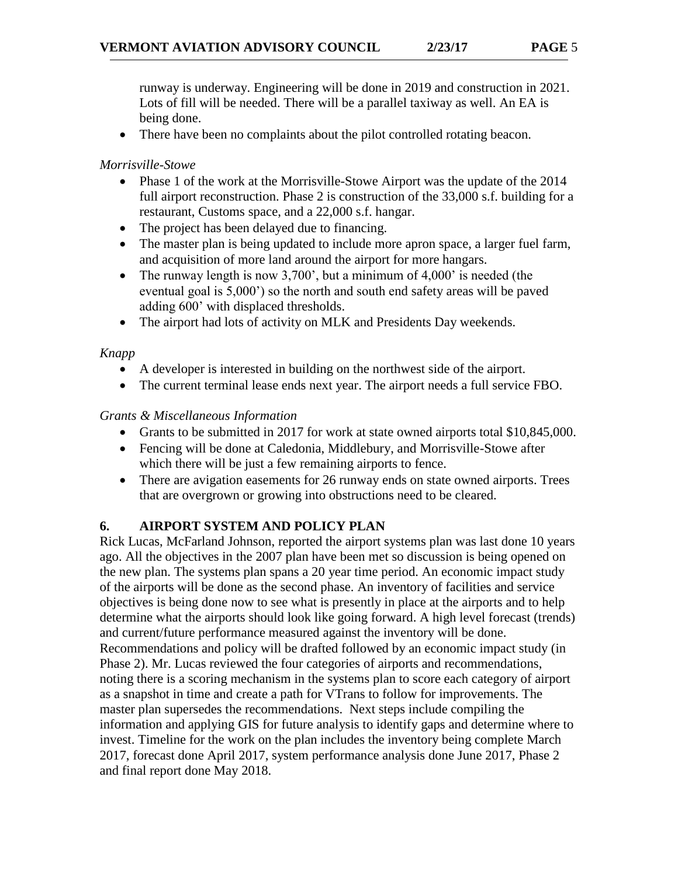runway is underway. Engineering will be done in 2019 and construction in 2021. Lots of fill will be needed. There will be a parallel taxiway as well. An EA is being done.

• There have been no complaints about the pilot controlled rotating beacon.

### *Morrisville-Stowe*

- Phase 1 of the work at the Morrisville-Stowe Airport was the update of the 2014 full airport reconstruction. Phase 2 is construction of the 33,000 s.f. building for a restaurant, Customs space, and a 22,000 s.f. hangar.
- The project has been delayed due to financing.
- The master plan is being updated to include more apron space, a larger fuel farm, and acquisition of more land around the airport for more hangars.
- The runway length is now 3,700', but a minimum of 4,000' is needed (the eventual goal is 5,000') so the north and south end safety areas will be paved adding 600' with displaced thresholds.
- The airport had lots of activity on MLK and Presidents Day weekends.

## *Knapp*

- A developer is interested in building on the northwest side of the airport.
- The current terminal lease ends next year. The airport needs a full service FBO.

## *Grants & Miscellaneous Information*

- Grants to be submitted in 2017 for work at state owned airports total \$10,845,000.
- Fencing will be done at Caledonia, Middlebury, and Morrisville-Stowe after which there will be just a few remaining airports to fence.
- There are avigation easements for 26 runway ends on state owned airports. Trees that are overgrown or growing into obstructions need to be cleared.

## **6. AIRPORT SYSTEM AND POLICY PLAN**

Rick Lucas, McFarland Johnson, reported the airport systems plan was last done 10 years ago. All the objectives in the 2007 plan have been met so discussion is being opened on the new plan. The systems plan spans a 20 year time period. An economic impact study of the airports will be done as the second phase. An inventory of facilities and service objectives is being done now to see what is presently in place at the airports and to help determine what the airports should look like going forward. A high level forecast (trends) and current/future performance measured against the inventory will be done. Recommendations and policy will be drafted followed by an economic impact study (in Phase 2). Mr. Lucas reviewed the four categories of airports and recommendations, noting there is a scoring mechanism in the systems plan to score each category of airport as a snapshot in time and create a path for VTrans to follow for improvements. The master plan supersedes the recommendations. Next steps include compiling the information and applying GIS for future analysis to identify gaps and determine where to invest. Timeline for the work on the plan includes the inventory being complete March 2017, forecast done April 2017, system performance analysis done June 2017, Phase 2 and final report done May 2018.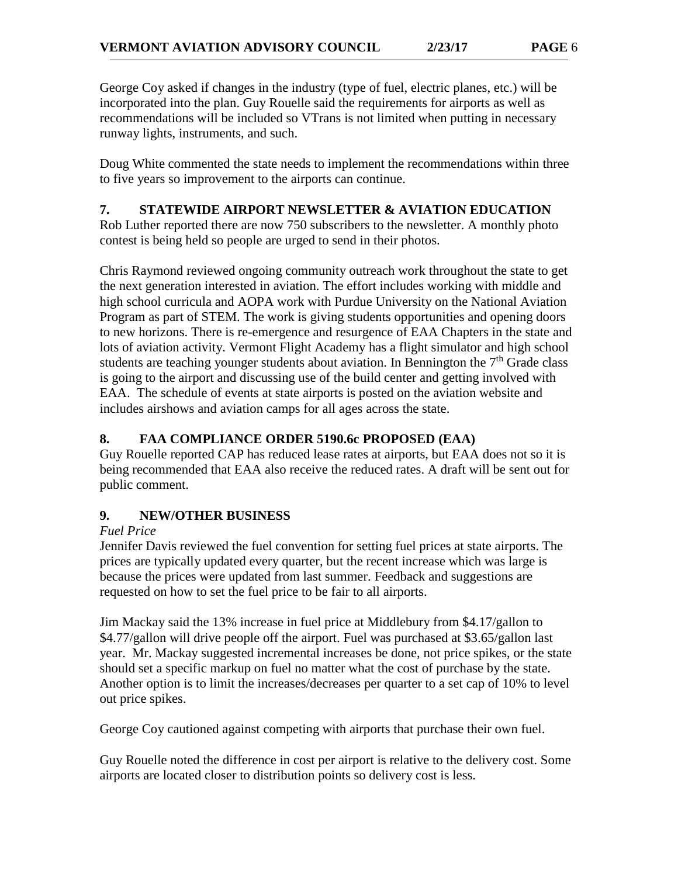George Coy asked if changes in the industry (type of fuel, electric planes, etc.) will be incorporated into the plan. Guy Rouelle said the requirements for airports as well as recommendations will be included so VTrans is not limited when putting in necessary runway lights, instruments, and such.

Doug White commented the state needs to implement the recommendations within three to five years so improvement to the airports can continue.

## **7. STATEWIDE AIRPORT NEWSLETTER & AVIATION EDUCATION**

Rob Luther reported there are now 750 subscribers to the newsletter. A monthly photo contest is being held so people are urged to send in their photos.

Chris Raymond reviewed ongoing community outreach work throughout the state to get the next generation interested in aviation. The effort includes working with middle and high school curricula and AOPA work with Purdue University on the National Aviation Program as part of STEM. The work is giving students opportunities and opening doors to new horizons. There is re-emergence and resurgence of EAA Chapters in the state and lots of aviation activity. Vermont Flight Academy has a flight simulator and high school students are teaching younger students about aviation. In Bennington the  $7<sup>th</sup>$  Grade class is going to the airport and discussing use of the build center and getting involved with EAA. The schedule of events at state airports is posted on the aviation website and includes airshows and aviation camps for all ages across the state.

## **8. FAA COMPLIANCE ORDER 5190.6c PROPOSED (EAA)**

Guy Rouelle reported CAP has reduced lease rates at airports, but EAA does not so it is being recommended that EAA also receive the reduced rates. A draft will be sent out for public comment.

# **9. NEW/OTHER BUSINESS**

#### *Fuel Price*

Jennifer Davis reviewed the fuel convention for setting fuel prices at state airports. The prices are typically updated every quarter, but the recent increase which was large is because the prices were updated from last summer. Feedback and suggestions are requested on how to set the fuel price to be fair to all airports.

Jim Mackay said the 13% increase in fuel price at Middlebury from \$4.17/gallon to \$4.77/gallon will drive people off the airport. Fuel was purchased at \$3.65/gallon last year. Mr. Mackay suggested incremental increases be done, not price spikes, or the state should set a specific markup on fuel no matter what the cost of purchase by the state. Another option is to limit the increases/decreases per quarter to a set cap of 10% to level out price spikes.

George Coy cautioned against competing with airports that purchase their own fuel.

Guy Rouelle noted the difference in cost per airport is relative to the delivery cost. Some airports are located closer to distribution points so delivery cost is less.